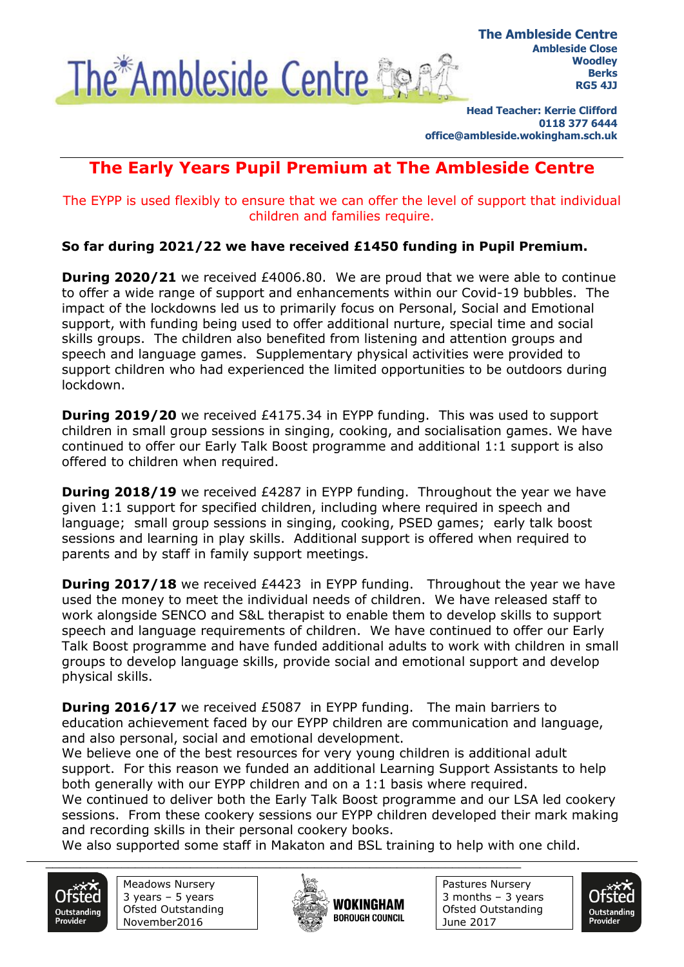

**Head Teacher: Kerrie Clifford 0118 377 6444 office@ambleside.wokingham.sch.uk**

## **The Early Years Pupil Premium at The Ambleside Centre**

The EYPP is used flexibly to ensure that we can offer the level of support that individual children and families require.

**So far during 2021/22 we have received £1450 funding in Pupil Premium.**

**During 2020/21** we received £4006.80. We are proud that we were able to continue to offer a wide range of support and enhancements within our Covid-19 bubbles. The impact of the lockdowns led us to primarily focus on Personal, Social and Emotional support, with funding being used to offer additional nurture, special time and social skills groups. The children also benefited from listening and attention groups and speech and language games. Supplementary physical activities were provided to support children who had experienced the limited opportunities to be outdoors during lockdown.

**During 2019/20** we received £4175.34 in EYPP funding. This was used to support children in small group sessions in singing, cooking, and socialisation games. We have continued to offer our Early Talk Boost programme and additional 1:1 support is also offered to children when required.

**During 2018/19** we received £4287 in EYPP funding. Throughout the year we have given 1:1 support for specified children, including where required in speech and language; small group sessions in singing, cooking, PSED games; early talk boost sessions and learning in play skills. Additional support is offered when required to parents and by staff in family support meetings.

**During 2017/18** we received £4423 in EYPP funding. Throughout the year we have used the money to meet the individual needs of children. We have released staff to work alongside SENCO and S&L therapist to enable them to develop skills to support speech and language requirements of children. We have continued to offer our Early Talk Boost programme and have funded additional adults to work with children in small groups to develop language skills, provide social and emotional support and develop physical skills.

**During 2016/17** we received £5087 in EYPP funding. The main barriers to education achievement faced by our EYPP children are communication and language, and also personal, social and emotional development.

We believe one of the best resources for very young children is additional adult support. For this reason we funded an additional Learning Support Assistants to help both generally with our EYPP children and on a 1:1 basis where required.

We continued to deliver both the Early Talk Boost programme and our LSA led cookery sessions. From these cookery sessions our EYPP children developed their mark making and recording skills in their personal cookery books.

We also supported some staff in Makaton and BSL training to help with one child.





 $\frac{1}{2}$  ,  $\frac{1}{2}$  ,  $\frac{1}{2}$  ,  $\frac{1}{2}$  ,  $\frac{1}{2}$  ,  $\frac{1}{2}$  ,  $\frac{1}{2}$  ,  $\frac{1}{2}$  ,  $\frac{1}{2}$  ,  $\frac{1}{2}$  ,  $\frac{1}{2}$  ,  $\frac{1}{2}$  ,  $\frac{1}{2}$  ,  $\frac{1}{2}$  ,  $\frac{1}{2}$  ,  $\frac{1}{2}$  ,  $\frac{1}{2}$  ,  $\frac{1}{2}$  ,  $\frac{1$ 



Pastures Nursery 3 months – 3 years Ofsted Outstanding June 2017